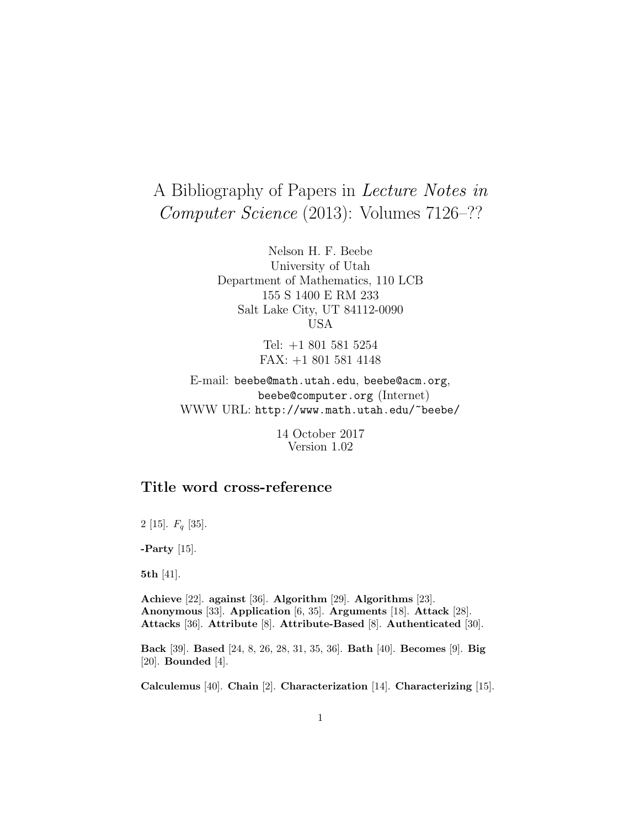# A Bibliography of Papers in Lecture Notes in Computer Science (2013): Volumes 7126–??

Nelson H. F. Beebe University of Utah Department of Mathematics, 110 LCB 155 S 1400 E RM 233 Salt Lake City, UT 84112-0090 USA

> Tel: +1 801 581 5254 FAX: +1 801 581 4148

E-mail: beebe@math.utah.edu, beebe@acm.org, beebe@computer.org (Internet) WWW URL: http://www.math.utah.edu/~beebe/

> 14 October 2017 Version 1.02

# **Title word cross-reference**

2 [15].  $F_q$  [35].

**-Party** [15].

**5th** [41].

**Achieve** [22]. **against** [36]. **Algorithm** [29]. **Algorithms** [23]. **Anonymous** [33]. **Application** [6, 35]. **Arguments** [18]. **Attack** [28]. **Attacks** [36]. **Attribute** [8]. **Attribute-Based** [8]. **Authenticated** [30].

**Back** [39]. **Based** [24, 8, 26, 28, 31, 35, 36]. **Bath** [40]. **Becomes** [9]. **Big** [20]. **Bounded** [4].

**Calculemus** [40]. **Chain** [2]. **Characterization** [14]. **Characterizing** [15].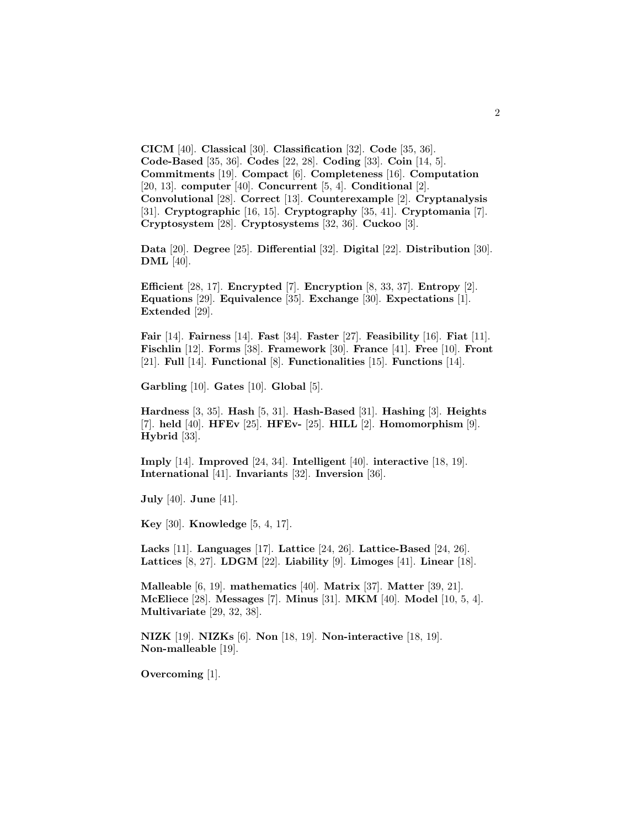**CICM** [40]. **Classical** [30]. **Classification** [32]. **Code** [35, 36]. **Code-Based** [35, 36]. **Codes** [22, 28]. **Coding** [33]. **Coin** [14, 5]. **Commitments** [19]. **Compact** [6]. **Completeness** [16]. **Computation** [20, 13]. **computer** [40]. **Concurrent** [5, 4]. **Conditional** [2]. **Convolutional** [28]. **Correct** [13]. **Counterexample** [2]. **Cryptanalysis** [31]. **Cryptographic** [16, 15]. **Cryptography** [35, 41]. **Cryptomania** [7]. **Cryptosystem** [28]. **Cryptosystems** [32, 36]. **Cuckoo** [3].

**Data** [20]. **Degree** [25]. **Differential** [32]. **Digital** [22]. **Distribution** [30]. **DML** [40].

**Efficient** [28, 17]. **Encrypted** [7]. **Encryption** [8, 33, 37]. **Entropy** [2]. **Equations** [29]. **Equivalence** [35]. **Exchange** [30]. **Expectations** [1]. **Extended** [29].

**Fair** [14]. **Fairness** [14]. **Fast** [34]. **Faster** [27]. **Feasibility** [16]. **Fiat** [11]. **Fischlin** [12]. **Forms** [38]. **Framework** [30]. **France** [41]. **Free** [10]. **Front** [21]. **Full** [14]. **Functional** [8]. **Functionalities** [15]. **Functions** [14].

**Garbling** [10]. **Gates** [10]. **Global** [5].

**Hardness** [3, 35]. **Hash** [5, 31]. **Hash-Based** [31]. **Hashing** [3]. **Heights** [7]. **held** [40]. **HFEv** [25]. **HFEv-** [25]. **HILL** [2]. **Homomorphism** [9]. **Hybrid** [33].

**Imply** [14]. **Improved** [24, 34]. **Intelligent** [40]. **interactive** [18, 19]. **International** [41]. **Invariants** [32]. **Inversion** [36].

**July** [40]. **June** [41].

**Key** [30]. **Knowledge** [5, 4, 17].

**Lacks** [11]. **Languages** [17]. **Lattice** [24, 26]. **Lattice-Based** [24, 26]. **Lattices** [8, 27]. **LDGM** [22]. **Liability** [9]. **Limoges** [41]. **Linear** [18].

**Malleable** [6, 19]. **mathematics** [40]. **Matrix** [37]. **Matter** [39, 21]. **McEliece** [28]. **Messages** [7]. **Minus** [31]. **MKM** [40]. **Model** [10, 5, 4]. **Multivariate** [29, 32, 38].

**NIZK** [19]. **NIZKs** [6]. **Non** [18, 19]. **Non-interactive** [18, 19]. **Non-malleable** [19].

**Overcoming** [1].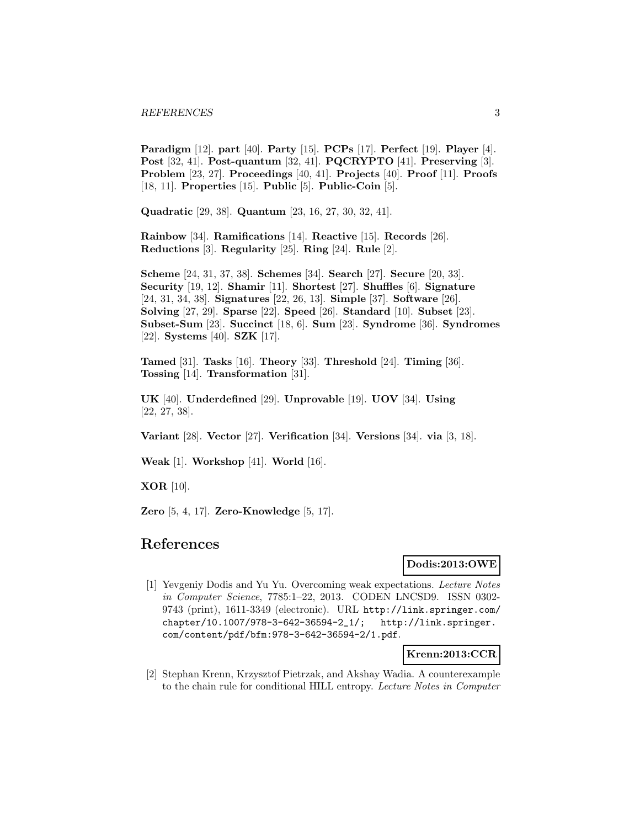**Paradigm** [12]. **part** [40]. **Party** [15]. **PCPs** [17]. **Perfect** [19]. **Player** [4]. **Post** [32, 41]. **Post-quantum** [32, 41]. **PQCRYPTO** [41]. **Preserving** [3]. **Problem** [23, 27]. **Proceedings** [40, 41]. **Projects** [40]. **Proof** [11]. **Proofs** [18, 11]. **Properties** [15]. **Public** [5]. **Public-Coin** [5].

**Quadratic** [29, 38]. **Quantum** [23, 16, 27, 30, 32, 41].

**Rainbow** [34]. **Ramifications** [14]. **Reactive** [15]. **Records** [26]. **Reductions** [3]. **Regularity** [25]. **Ring** [24]. **Rule** [2].

**Scheme** [24, 31, 37, 38]. **Schemes** [34]. **Search** [27]. **Secure** [20, 33]. **Security** [19, 12]. **Shamir** [11]. **Shortest** [27]. **Shuffles** [6]. **Signature** [24, 31, 34, 38]. **Signatures** [22, 26, 13]. **Simple** [37]. **Software** [26]. **Solving** [27, 29]. **Sparse** [22]. **Speed** [26]. **Standard** [10]. **Subset** [23]. **Subset-Sum** [23]. **Succinct** [18, 6]. **Sum** [23]. **Syndrome** [36]. **Syndromes** [22]. **Systems** [40]. **SZK** [17].

**Tamed** [31]. **Tasks** [16]. **Theory** [33]. **Threshold** [24]. **Timing** [36]. **Tossing** [14]. **Transformation** [31].

**UK** [40]. **Underdefined** [29]. **Unprovable** [19]. **UOV** [34]. **Using** [22, 27, 38].

**Variant** [28]. **Vector** [27]. **Verification** [34]. **Versions** [34]. **via** [3, 18].

**Weak** [1]. **Workshop** [41]. **World** [16].

**XOR** [10].

**Zero** [5, 4, 17]. **Zero-Knowledge** [5, 17].

# **References**

### **Dodis:2013:OWE**

[1] Yevgeniy Dodis and Yu Yu. Overcoming weak expectations. Lecture Notes in Computer Science, 7785:1–22, 2013. CODEN LNCSD9. ISSN 0302- 9743 (print), 1611-3349 (electronic). URL http://link.springer.com/ chapter/10.1007/978-3-642-36594-2\_1/; http://link.springer. com/content/pdf/bfm:978-3-642-36594-2/1.pdf.

**Krenn:2013:CCR**

[2] Stephan Krenn, Krzysztof Pietrzak, and Akshay Wadia. A counterexample to the chain rule for conditional HILL entropy. Lecture Notes in Computer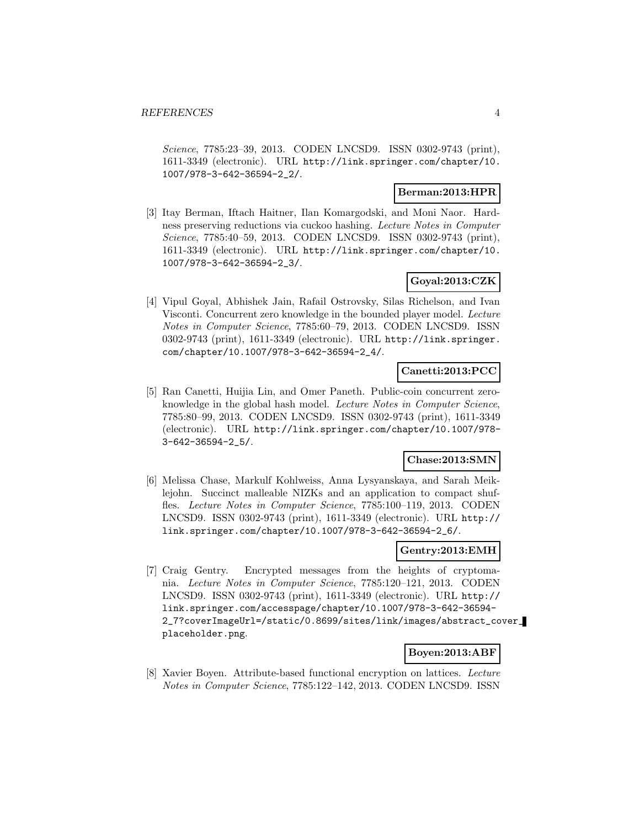Science, 7785:23–39, 2013. CODEN LNCSD9. ISSN 0302-9743 (print), 1611-3349 (electronic). URL http://link.springer.com/chapter/10. 1007/978-3-642-36594-2\_2/.

### **Berman:2013:HPR**

[3] Itay Berman, Iftach Haitner, Ilan Komargodski, and Moni Naor. Hardness preserving reductions via cuckoo hashing. Lecture Notes in Computer Science, 7785:40–59, 2013. CODEN LNCSD9. ISSN 0302-9743 (print), 1611-3349 (electronic). URL http://link.springer.com/chapter/10. 1007/978-3-642-36594-2\_3/.

# **Goyal:2013:CZK**

[4] Vipul Goyal, Abhishek Jain, Rafail Ostrovsky, Silas Richelson, and Ivan Visconti. Concurrent zero knowledge in the bounded player model. Lecture Notes in Computer Science, 7785:60–79, 2013. CODEN LNCSD9. ISSN 0302-9743 (print), 1611-3349 (electronic). URL http://link.springer. com/chapter/10.1007/978-3-642-36594-2\_4/.

### **Canetti:2013:PCC**

[5] Ran Canetti, Huijia Lin, and Omer Paneth. Public-coin concurrent zeroknowledge in the global hash model. Lecture Notes in Computer Science, 7785:80–99, 2013. CODEN LNCSD9. ISSN 0302-9743 (print), 1611-3349 (electronic). URL http://link.springer.com/chapter/10.1007/978- 3-642-36594-2\_5/.

### **Chase:2013:SMN**

[6] Melissa Chase, Markulf Kohlweiss, Anna Lysyanskaya, and Sarah Meiklejohn. Succinct malleable NIZKs and an application to compact shuffles. Lecture Notes in Computer Science, 7785:100–119, 2013. CODEN LNCSD9. ISSN 0302-9743 (print), 1611-3349 (electronic). URL http:// link.springer.com/chapter/10.1007/978-3-642-36594-2\_6/.

# **Gentry:2013:EMH**

[7] Craig Gentry. Encrypted messages from the heights of cryptomania. Lecture Notes in Computer Science, 7785:120–121, 2013. CODEN LNCSD9. ISSN 0302-9743 (print), 1611-3349 (electronic). URL http:// link.springer.com/accesspage/chapter/10.1007/978-3-642-36594- 2\_7?coverImageUrl=/static/0.8699/sites/link/images/abstract\_cover\_ placeholder.png.

### **Boyen:2013:ABF**

[8] Xavier Boyen. Attribute-based functional encryption on lattices. Lecture Notes in Computer Science, 7785:122–142, 2013. CODEN LNCSD9. ISSN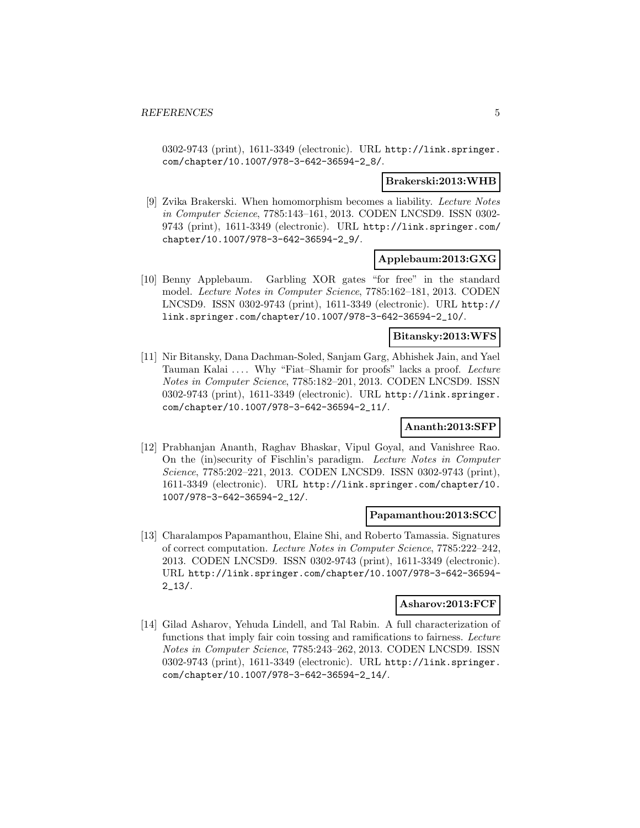0302-9743 (print), 1611-3349 (electronic). URL http://link.springer. com/chapter/10.1007/978-3-642-36594-2\_8/.

#### **Brakerski:2013:WHB**

[9] Zvika Brakerski. When homomorphism becomes a liability. Lecture Notes in Computer Science, 7785:143–161, 2013. CODEN LNCSD9. ISSN 0302- 9743 (print), 1611-3349 (electronic). URL http://link.springer.com/ chapter/10.1007/978-3-642-36594-2\_9/.

### **Applebaum:2013:GXG**

[10] Benny Applebaum. Garbling XOR gates "for free" in the standard model. Lecture Notes in Computer Science, 7785:162–181, 2013. CODEN LNCSD9. ISSN 0302-9743 (print), 1611-3349 (electronic). URL http:// link.springer.com/chapter/10.1007/978-3-642-36594-2\_10/.

#### **Bitansky:2013:WFS**

[11] Nir Bitansky, Dana Dachman-Soled, Sanjam Garg, Abhishek Jain, and Yael Tauman Kalai .... Why "Fiat-Shamir for proofs" lacks a proof. Lecture Notes in Computer Science, 7785:182–201, 2013. CODEN LNCSD9. ISSN 0302-9743 (print),  $1611-3349$  (electronic). URL http://link.springer. com/chapter/10.1007/978-3-642-36594-2\_11/.

### **Ananth:2013:SFP**

[12] Prabhanjan Ananth, Raghav Bhaskar, Vipul Goyal, and Vanishree Rao. On the (in)security of Fischlin's paradigm. Lecture Notes in Computer Science, 7785:202–221, 2013. CODEN LNCSD9. ISSN 0302-9743 (print), 1611-3349 (electronic). URL http://link.springer.com/chapter/10. 1007/978-3-642-36594-2\_12/.

#### **Papamanthou:2013:SCC**

[13] Charalampos Papamanthou, Elaine Shi, and Roberto Tamassia. Signatures of correct computation. Lecture Notes in Computer Science, 7785:222–242, 2013. CODEN LNCSD9. ISSN 0302-9743 (print), 1611-3349 (electronic). URL http://link.springer.com/chapter/10.1007/978-3-642-36594-  $2 - 13/$ .

# **Asharov:2013:FCF**

[14] Gilad Asharov, Yehuda Lindell, and Tal Rabin. A full characterization of functions that imply fair coin tossing and ramifications to fairness. Lecture Notes in Computer Science, 7785:243–262, 2013. CODEN LNCSD9. ISSN 0302-9743 (print), 1611-3349 (electronic). URL http://link.springer. com/chapter/10.1007/978-3-642-36594-2\_14/.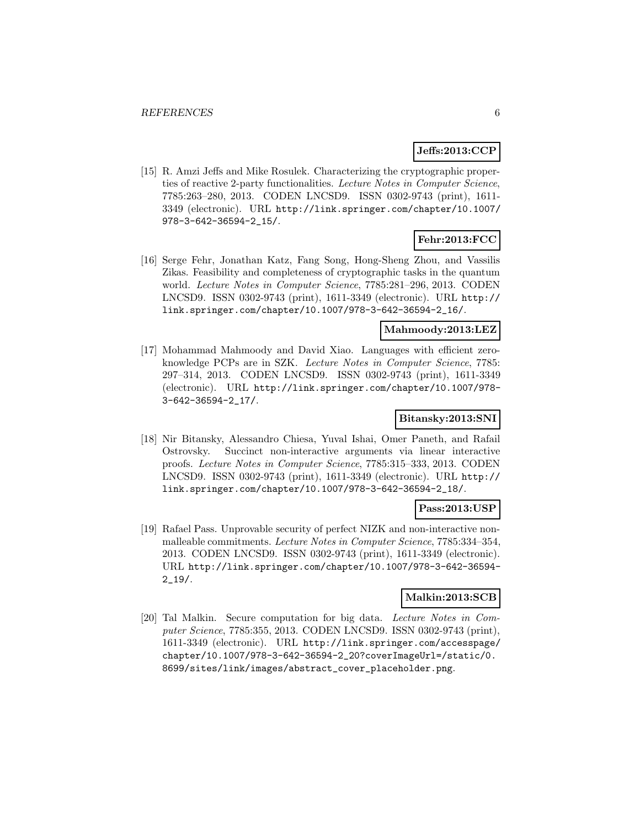# **Jeffs:2013:CCP**

[15] R. Amzi Jeffs and Mike Rosulek. Characterizing the cryptographic properties of reactive 2-party functionalities. Lecture Notes in Computer Science, 7785:263–280, 2013. CODEN LNCSD9. ISSN 0302-9743 (print), 1611- 3349 (electronic). URL http://link.springer.com/chapter/10.1007/ 978-3-642-36594-2\_15/.

# **Fehr:2013:FCC**

[16] Serge Fehr, Jonathan Katz, Fang Song, Hong-Sheng Zhou, and Vassilis Zikas. Feasibility and completeness of cryptographic tasks in the quantum world. Lecture Notes in Computer Science, 7785:281–296, 2013. CODEN LNCSD9. ISSN 0302-9743 (print), 1611-3349 (electronic). URL http:// link.springer.com/chapter/10.1007/978-3-642-36594-2\_16/.

### **Mahmoody:2013:LEZ**

[17] Mohammad Mahmoody and David Xiao. Languages with efficient zeroknowledge PCPs are in SZK. Lecture Notes in Computer Science, 7785: 297–314, 2013. CODEN LNCSD9. ISSN 0302-9743 (print), 1611-3349 (electronic). URL http://link.springer.com/chapter/10.1007/978- 3-642-36594-2\_17/.

# **Bitansky:2013:SNI**

[18] Nir Bitansky, Alessandro Chiesa, Yuval Ishai, Omer Paneth, and Rafail Ostrovsky. Succinct non-interactive arguments via linear interactive proofs. Lecture Notes in Computer Science, 7785:315–333, 2013. CODEN LNCSD9. ISSN 0302-9743 (print), 1611-3349 (electronic). URL http:// link.springer.com/chapter/10.1007/978-3-642-36594-2\_18/.

### **Pass:2013:USP**

[19] Rafael Pass. Unprovable security of perfect NIZK and non-interactive nonmalleable commitments. Lecture Notes in Computer Science, 7785:334-354, 2013. CODEN LNCSD9. ISSN 0302-9743 (print), 1611-3349 (electronic). URL http://link.springer.com/chapter/10.1007/978-3-642-36594- 2\_19/.

# **Malkin:2013:SCB**

[20] Tal Malkin. Secure computation for big data. Lecture Notes in Computer Science, 7785:355, 2013. CODEN LNCSD9. ISSN 0302-9743 (print), 1611-3349 (electronic). URL http://link.springer.com/accesspage/ chapter/10.1007/978-3-642-36594-2\_20?coverImageUrl=/static/0. 8699/sites/link/images/abstract\_cover\_placeholder.png.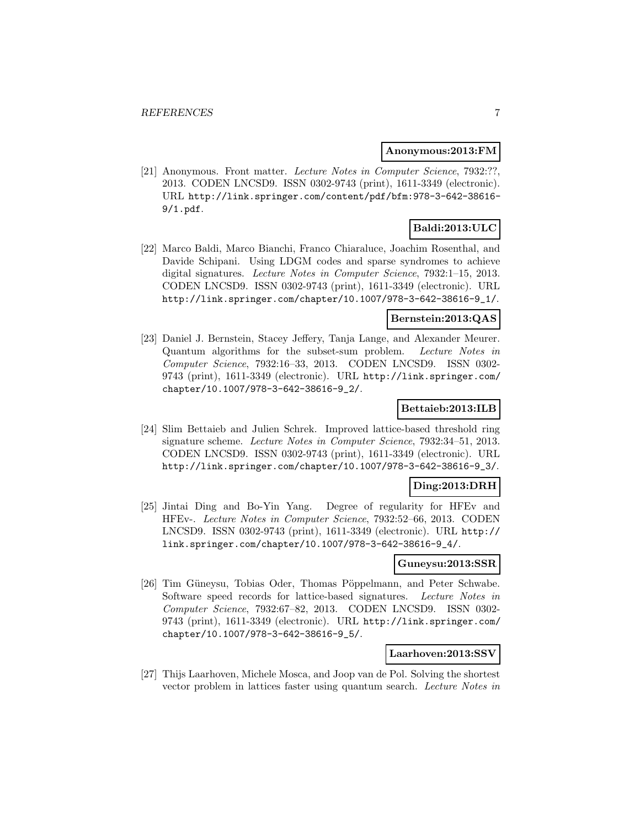#### **Anonymous:2013:FM**

[21] Anonymous. Front matter. Lecture Notes in Computer Science, 7932:??, 2013. CODEN LNCSD9. ISSN 0302-9743 (print), 1611-3349 (electronic). URL http://link.springer.com/content/pdf/bfm:978-3-642-38616- 9/1.pdf.

# **Baldi:2013:ULC**

[22] Marco Baldi, Marco Bianchi, Franco Chiaraluce, Joachim Rosenthal, and Davide Schipani. Using LDGM codes and sparse syndromes to achieve digital signatures. Lecture Notes in Computer Science, 7932:1–15, 2013. CODEN LNCSD9. ISSN 0302-9743 (print), 1611-3349 (electronic). URL http://link.springer.com/chapter/10.1007/978-3-642-38616-9\_1/.

### **Bernstein:2013:QAS**

[23] Daniel J. Bernstein, Stacey Jeffery, Tanja Lange, and Alexander Meurer. Quantum algorithms for the subset-sum problem. Lecture Notes in Computer Science, 7932:16–33, 2013. CODEN LNCSD9. ISSN 0302- 9743 (print), 1611-3349 (electronic). URL http://link.springer.com/ chapter/10.1007/978-3-642-38616-9\_2/.

### **Bettaieb:2013:ILB**

[24] Slim Bettaieb and Julien Schrek. Improved lattice-based threshold ring signature scheme. Lecture Notes in Computer Science, 7932:34–51, 2013. CODEN LNCSD9. ISSN 0302-9743 (print), 1611-3349 (electronic). URL http://link.springer.com/chapter/10.1007/978-3-642-38616-9\_3/.

### **Ding:2013:DRH**

[25] Jintai Ding and Bo-Yin Yang. Degree of regularity for HFEv and HFEv-. Lecture Notes in Computer Science, 7932:52–66, 2013. CODEN LNCSD9. ISSN 0302-9743 (print), 1611-3349 (electronic). URL http:// link.springer.com/chapter/10.1007/978-3-642-38616-9\_4/.

#### **Guneysu:2013:SSR**

[26] Tim Güneysu, Tobias Oder, Thomas Pöppelmann, and Peter Schwabe. Software speed records for lattice-based signatures. Lecture Notes in Computer Science, 7932:67–82, 2013. CODEN LNCSD9. ISSN 0302- 9743 (print), 1611-3349 (electronic). URL http://link.springer.com/ chapter/10.1007/978-3-642-38616-9\_5/.

#### **Laarhoven:2013:SSV**

[27] Thijs Laarhoven, Michele Mosca, and Joop van de Pol. Solving the shortest vector problem in lattices faster using quantum search. Lecture Notes in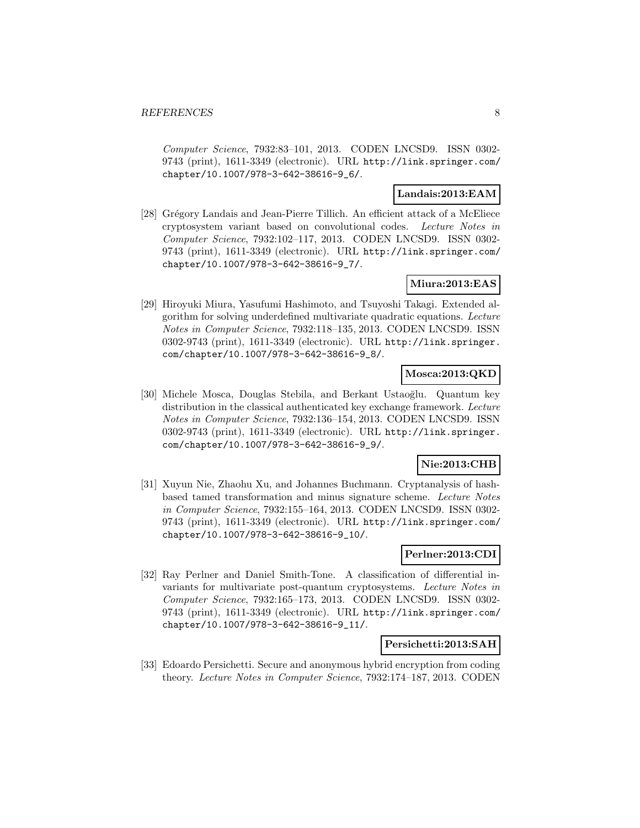Computer Science, 7932:83–101, 2013. CODEN LNCSD9. ISSN 0302- 9743 (print), 1611-3349 (electronic). URL http://link.springer.com/ chapter/10.1007/978-3-642-38616-9\_6/.

# **Landais:2013:EAM**

[28] Grégory Landais and Jean-Pierre Tillich. An efficient attack of a McEliece cryptosystem variant based on convolutional codes. Lecture Notes in Computer Science, 7932:102–117, 2013. CODEN LNCSD9. ISSN 0302- 9743 (print), 1611-3349 (electronic). URL http://link.springer.com/ chapter/10.1007/978-3-642-38616-9\_7/.

# **Miura:2013:EAS**

[29] Hiroyuki Miura, Yasufumi Hashimoto, and Tsuyoshi Takagi. Extended algorithm for solving underdefined multivariate quadratic equations. Lecture Notes in Computer Science, 7932:118–135, 2013. CODEN LNCSD9. ISSN 0302-9743 (print), 1611-3349 (electronic). URL http://link.springer. com/chapter/10.1007/978-3-642-38616-9\_8/.

# **Mosca:2013:QKD**

[30] Michele Mosca, Douglas Stebila, and Berkant Ustao˘glu. Quantum key distribution in the classical authenticated key exchange framework. Lecture Notes in Computer Science, 7932:136–154, 2013. CODEN LNCSD9. ISSN 0302-9743 (print), 1611-3349 (electronic). URL http://link.springer. com/chapter/10.1007/978-3-642-38616-9\_9/.

# **Nie:2013:CHB**

[31] Xuyun Nie, Zhaohu Xu, and Johannes Buchmann. Cryptanalysis of hashbased tamed transformation and minus signature scheme. Lecture Notes in Computer Science, 7932:155–164, 2013. CODEN LNCSD9. ISSN 0302- 9743 (print), 1611-3349 (electronic). URL http://link.springer.com/ chapter/10.1007/978-3-642-38616-9\_10/.

### **Perlner:2013:CDI**

[32] Ray Perlner and Daniel Smith-Tone. A classification of differential invariants for multivariate post-quantum cryptosystems. Lecture Notes in Computer Science, 7932:165–173, 2013. CODEN LNCSD9. ISSN 0302- 9743 (print), 1611-3349 (electronic). URL http://link.springer.com/ chapter/10.1007/978-3-642-38616-9\_11/.

### **Persichetti:2013:SAH**

[33] Edoardo Persichetti. Secure and anonymous hybrid encryption from coding theory. Lecture Notes in Computer Science, 7932:174–187, 2013. CODEN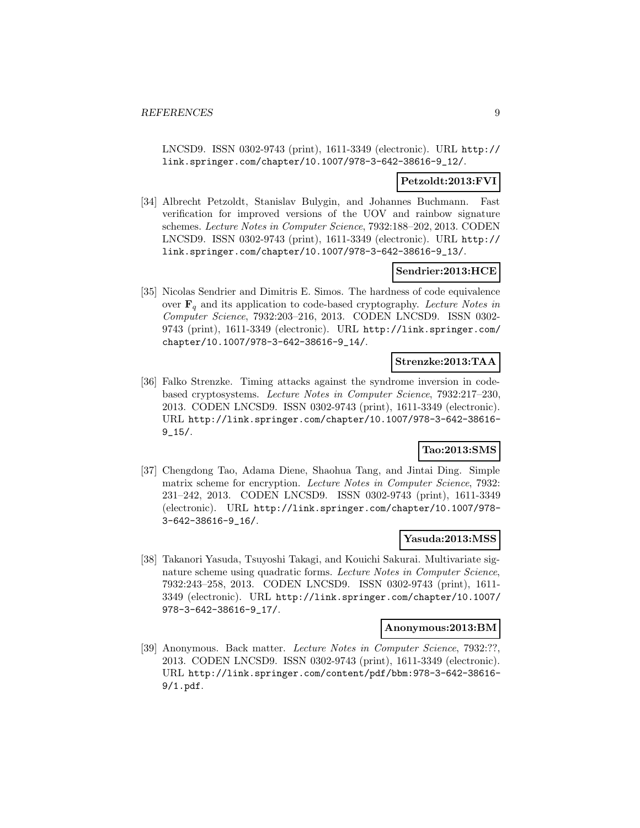LNCSD9. ISSN 0302-9743 (print), 1611-3349 (electronic). URL http:// link.springer.com/chapter/10.1007/978-3-642-38616-9\_12/.

### **Petzoldt:2013:FVI**

[34] Albrecht Petzoldt, Stanislav Bulygin, and Johannes Buchmann. Fast verification for improved versions of the UOV and rainbow signature schemes. Lecture Notes in Computer Science, 7932:188–202, 2013. CODEN LNCSD9. ISSN 0302-9743 (print), 1611-3349 (electronic). URL http:// link.springer.com/chapter/10.1007/978-3-642-38616-9\_13/.

### **Sendrier:2013:HCE**

[35] Nicolas Sendrier and Dimitris E. Simos. The hardness of code equivalence over  $\mathbf{F}_q$  and its application to code-based cryptography. Lecture Notes in Computer Science, 7932:203–216, 2013. CODEN LNCSD9. ISSN 0302- 9743 (print), 1611-3349 (electronic). URL http://link.springer.com/ chapter/10.1007/978-3-642-38616-9\_14/.

### **Strenzke:2013:TAA**

[36] Falko Strenzke. Timing attacks against the syndrome inversion in codebased cryptosystems. Lecture Notes in Computer Science, 7932:217–230, 2013. CODEN LNCSD9. ISSN 0302-9743 (print), 1611-3349 (electronic). URL http://link.springer.com/chapter/10.1007/978-3-642-38616-  $9 - 15/$ .

# **Tao:2013:SMS**

[37] Chengdong Tao, Adama Diene, Shaohua Tang, and Jintai Ding. Simple matrix scheme for encryption. Lecture Notes in Computer Science, 7932: 231–242, 2013. CODEN LNCSD9. ISSN 0302-9743 (print), 1611-3349 (electronic). URL http://link.springer.com/chapter/10.1007/978- 3-642-38616-9\_16/.

### **Yasuda:2013:MSS**

[38] Takanori Yasuda, Tsuyoshi Takagi, and Kouichi Sakurai. Multivariate signature scheme using quadratic forms. Lecture Notes in Computer Science, 7932:243–258, 2013. CODEN LNCSD9. ISSN 0302-9743 (print), 1611- 3349 (electronic). URL http://link.springer.com/chapter/10.1007/ 978-3-642-38616-9\_17/.

### **Anonymous:2013:BM**

[39] Anonymous. Back matter. Lecture Notes in Computer Science, 7932:??, 2013. CODEN LNCSD9. ISSN 0302-9743 (print), 1611-3349 (electronic). URL http://link.springer.com/content/pdf/bbm:978-3-642-38616- 9/1.pdf.